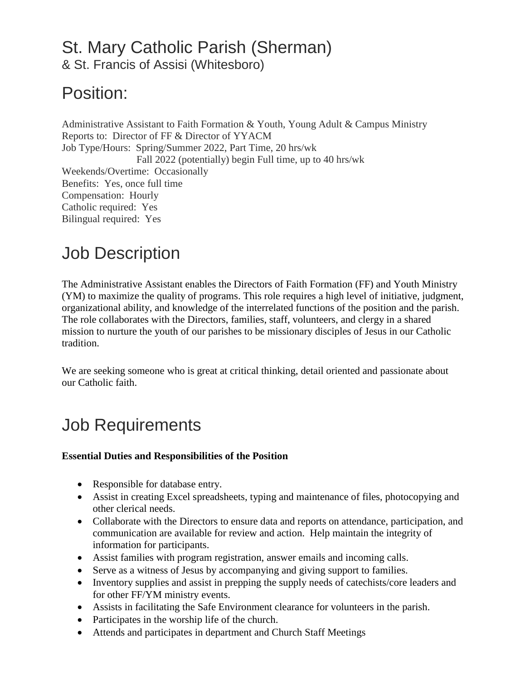# St. Mary Catholic Parish (Sherman)

& St. Francis of Assisi (Whitesboro)

### Position:

Administrative Assistant to Faith Formation & Youth, Young Adult & Campus Ministry Reports to: Director of FF & Director of YYACM Job Type/Hours: Spring/Summer 2022, Part Time, 20 hrs/wk Fall 2022 (potentially) begin Full time, up to 40 hrs/wk Weekends/Overtime: Occasionally Benefits: Yes, once full time Compensation: Hourly Catholic required: Yes Bilingual required: Yes

# Job Description

The Administrative Assistant enables the Directors of Faith Formation (FF) and Youth Ministry (YM) to maximize the quality of programs. This role requires a high level of initiative, judgment, organizational ability, and knowledge of the interrelated functions of the position and the parish. The role collaborates with the Directors, families, staff, volunteers, and clergy in a shared mission to nurture the youth of our parishes to be missionary disciples of Jesus in our Catholic tradition.

We are seeking someone who is great at critical thinking, detail oriented and passionate about our Catholic faith.

### Job Requirements

#### **Essential Duties and Responsibilities of the Position**

- Responsible for database entry.
- Assist in creating Excel spreadsheets, typing and maintenance of files, photocopying and other clerical needs.
- Collaborate with the Directors to ensure data and reports on attendance, participation, and communication are available for review and action. Help maintain the integrity of information for participants.
- Assist families with program registration, answer emails and incoming calls.
- Serve as a witness of Jesus by accompanying and giving support to families.
- Inventory supplies and assist in prepping the supply needs of catechists/core leaders and for other FF/YM ministry events.
- Assists in facilitating the Safe Environment clearance for volunteers in the parish.
- Participates in the worship life of the church.
- Attends and participates in department and Church Staff Meetings